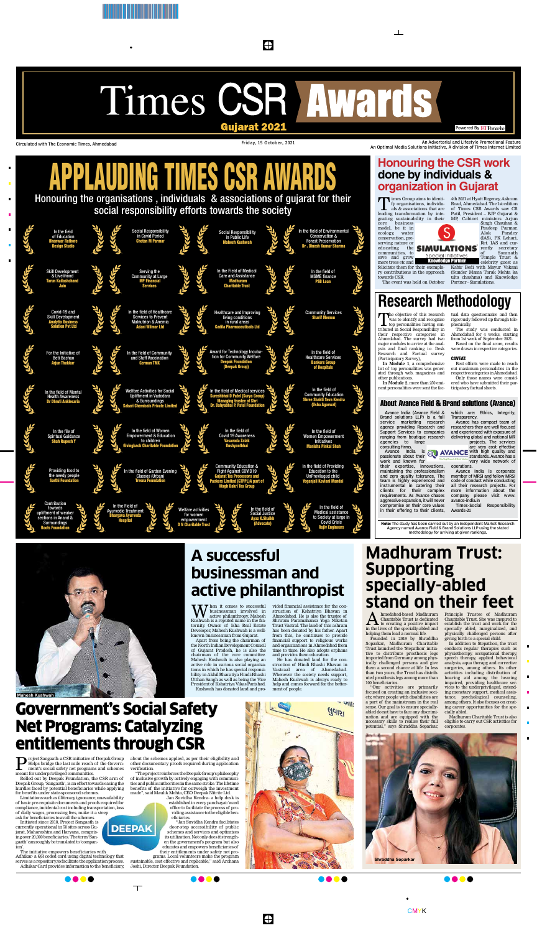

### $\bigoplus$

Circulated with The Economic Times, Ahmedabad **Friday, 15 October, 2021** An Advertorial and Lifestyle Promotional Feature An Optimal Media Solutions Initiative, A division of Times Internet Limited

> **W** hen it comes to successful<br>active philanthropy, Mahesh<br>Eushwab is a reputed name in the frabusinessman involved in Kushwah is a reputed name in the fraternity. Owner of Isha Real Estate Developer, Mahesh Kushwah is a wellknown businessman from Gujarat.

hen it comes to successful vided financial assistance for the construction of Kshatriya Bhavan in Ahmedabad. He is also the trustee of Shriram Paramahansa Yoga Niketan Trust Vastral. The land of this ashram has been donated by his father. Apart from this, he continues to provide financial support to religious works and organizations in Ahmedabad from time to time. He also adopts orphans and provides them education.

Apart from being the chairman of the North Indian Development Council of Gujarat Pradesh, he is also the chairman of the core committee. Mahesh Kushwah is also playing an active role in various social organizations in which he has special responsibility in Akhil Bharatiya Hindi-Bhashi Utthan Sangh as well as being the Vice President of Kshatriya Vikas Parishad. Kushwah has donated land and pro-

A hmedabad-based Madhuram<br>to creating a positive impact<br>in the lives of the specially abled and Charitable Trust is dedicated in the lives of the specially-abled and helping them lead a normal life.

hmedabad-based Madhuram Principle Trustee of Madhuram Charitable Trust. She was inspired to establish the trust and work for the specially abled, marginalized, and physically challenged persons after giving birth to a special child.

He has donated land for the construction of Hindi Bhashi Bhavan in Vastraal area of Ahmedabad. Whenever the society needs support, Mahesh Kushwah is always ready to help and comes forward for the betterment of people.

 $\cdot$   $\omega$ 

### **A successful businessman and active philanthropist**



 $\sum_{\text{height}} \text{reject Sang} \text{ and } \text{as} \text{ and } \text{and} \text{ or } \text{in} \text{ or } \text{in} \text{.}$  Helps bridge the last mile reach of the Government's social safety net programs and schemes Helps bridge the last mile reach of the Governmeant for underprivileged communities.

Founded in 2019 by Shraddha Soparkar, Madhuram Charitable Trust launched the 'Stepathon' initiative to distribute prosthesis legs imported from Germany among physically challenged persons and give them a second chance at life. In less than two years, the Trust has distributed prosthesis legs among more than 100 beneficiaries.

"Our activities are primarily focused on creating an inclusive society, where people with disabilities are a part of the mainstream in the real sense. Our goal is to ensure speciallyabled do not have to face any discrimination and are equipped with the necessary skills to realise their full potential," says Shraddha Soparkar,

In addition to Stepathon, the trust conducts regular therapies such as physiotherapy, occupational therapy, speech therapy, applied behavioral analysis, aqua therapy, and corrective surgeries, among others. Its other activities including distribution of hearing aid among the hearing impaired, providing healthcare services to the underprivileged, extending monetary support, medical assistance, psychological counseling, among others. It also focuses on creating career opportunities for the specially abled.

Madhuram Charitable Trust is also eligible to carry out CSR activities for corporates.

### **Madhuram Trust: Supporting specially-abled stand on their feet**



Rolled out by Deepak Foundation, the CSR arm of Deepak Group, 'Sangaath', is an effort towards easing the hurdles faced by potential beneficiaries while applying for benefits under state-sponsored schemes.

Limitations such as illiteracy, ignorance, unavailability of basic pre-requisite documents and proofs required for compliance, incidental cost including transportation, loss of daily wages, processing fees, make it a steep ask for beneficiaries to avail the schemes.

Initiated since 2018, Project Sangaath is currently operational in 50 sites across Gujarat, Maharashtra and Haryana, comprising over 20,000 beneficiaries. The term 'Sangaath' can roughly be translated to 'companion'.

The initiative empowers beneficiaries with Adhikar- a QR coded card using digital technology that serves as a repository, to facilitate the application process. Adhikar Card provides information to the beneficiary,



about the schemes applied, as per their eligibility and other documentary proofs required during application verification.

"The project reinforces the Deepak Group's philosophy of inclusive growth by actively engaging with communities and public authorities in the same stroke. The lifetime benefits of the initiative far outweigh the investment made", said Maulik Mehta, CEO Deepak Nitrite Ltd.

The objective of this research<br>
was to identify and recognise<br>
tributed in Social Deponsibility in was to identify and recognise tributed in Social Responsibility in their respective categories in Ahmedabad. The survey had two major modules to arrive at the analysis and final ranking i.e. Desk Research and Factual survey (Participatory Survey),

Jan Suvidha Kendra- a help desk is established in every panchayat/ward office to facilitate the process of providing assistance to the eligible beneficiaries.

"Jan Suvidha Kendra facilitates door-step accessibility of public schemes and services and optimizes its utilization. Not only does it strengthen the government's program but also educates and empowers beneficiaries of their entitlements under safety net programs. Local volunteers make the program

imes Group aims to identify organisations, individuals & associations that are leading transformation by integrating sustainability in their core business model, be it in

ecology, water conservation, preserving nature or<br>educating the **SIMULATIONS** educating

 $\perp$ 

sustainable, cost effective and replicable," said Archana Joshi, Director Deepak Foundation.



 $\bigoplus$ 

Government's Social Safety Net Programs: Catalyzing entitlements through CSR

DEEPAK

 $\top$ 



# APPLAUDING TIMES CSR AWARDS

Honouring the organisations , individuals & associations of gujarat for their social responsibility efforts towards the society



Avance India (Avance Field & Brand solutions LLP) is a full service marketing research agency providing Research and Support Services to companies ranging from boutique research agencies to large consulting firms.

Avance India is passionate about their work and known for

their expertise, innovations, maintaining the professionalism and zero quality tolerance. The team is highly experienced and instrumental in catering their

clients for their complex requirements. As Avance chases aggressive expansion, it will never compromise on their core values in their offering to their clients, which are: Ethics, Integrity, Transparency.

Avance has compact team of researchers they are well focused and experienced with exposure of delivering global and national MR projects. The services

are very cost effective **AVANCE** with high quality and standards. Avance has a very wide network of

### **Research Methodology**  tual data questionnaire and then

operations. Avance India is corporate member of MRSI and follow MRSI code of conduct while conducting all their research projects. For

more information about the company please visit www. avance-india.in Times-Social Responsibility

Awards-21

**Note:** The study has been carried out by an Independent Market Research Agency named Avance Field & Brand Solutions LLP using the stated methodology for arriving at given rankings.

**In Module 1**, a comprehensive list of top personalities was generated through web, magazines and other publications.

**In Module 2**, more than 250 eminent personalities were sent the fac-

rigorously followed up through telephonically. The study was conducted in Ahmedabad for 4 weeks, starting

from 1st week of September 2021. Based on the final score, results were drawn in respective categories.

#### CAVEAT:

Best efforts were made to reach out maximum personalities in the respective categories in Ahmedabad.

Only those names were considered who have submitted their participatory factual sheets.

more trees etc and felicitate them for their exemplary contributions in the approach towards CSR.

The event was held on October

4th 2021 at Hyatt Regency, Ashram Road, Ahmedabad. The 1st edition of Times CSR Awards saw CR Patil, President – BJP Gujarat & MP, Cabinet ministers Arjun

communities, to **Special Initiatives** save and grow Knowledge Partner

Singh Chauhan & Pradeep Parmar. Alok Pandey (IAS), PK Lehari, Ret. IAS and currently secretary of Somnath Temple Trust & celebrity guest as

Kabir Bedi with Mayur Vakani (Sunder Mama Tarak Mehta ka ulta chashma) and Knowledge Partner - Simulations.

### **Honouring the CSR work done by individuals & organization in Gujarat**

#### About Avance Field & Brand solutions (Avance)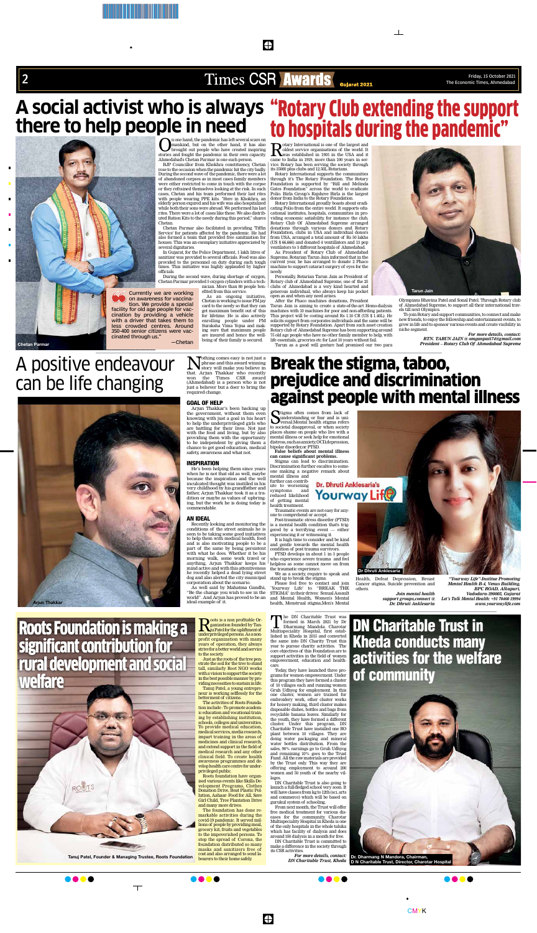

\*BTB140414/ /06/K/1\* /06/Y/1\*/06/M/1\*/06/C/1\*

 $\sum_{\substack{\text{mankind, but on the other hand, it has also}}$  home hand, but on the other hand, it has also<br>stories and fought out people who have created inspiring<br>stories and fount the pandemic in their own capacity. mankind, but on the other hand, it has also brought out people who have created inspiring stories and fought the pandemic in their own capacity. Ahmedabad's Chetan Parmar is one such person. BJP Councillor from Khokhra constituency, Chetan

rose to the occasion when the pandemic hit the city badly. During the second wave of the pandemic, there were a lot of abandoned corpses as in most cases family members were either restricted to come in touch with the corpse or they refrained themselves looking at the risk. In such cases, Chetan and his team performed their last rites with people wearing PPE kits. "Here in Khokhra, an elderly person expired and his wife was also hospitalized while both their sons were abroad. We performed his last rites. There were a lot of cases like these. We also distributed Ration Kits to the needy during this period," shares Chetan.

Rotary International is one of the largest and<br>oldest service organisations of the world. It<br>was established in 1905 in the USA and it<br>came to India in 1919 more than 100 years in seroldest service organisations of the world. It **NURSES SET VICE OF SERVICE THE USA and it** came to India in 1919, more than 100 years in service. Rotary has been serving the society through its 35000 plus clubs and 12.50L Rotarians.

Chetan Parmar also facilitated in providing 'Tiffin Service' for patients affected by the pandemic. He had also formed a team that provided free sanitization for houses. This was an exemplary initiative appreciated by several dignitaries.

In Gujarat, for the Police Department, 1 lakh litres of sanitizer was provided to several officials. Food was also provided to the personnel on duty during such tough times. This initiative was highly applauded by higher officials.

During the second wave, during shortage of oxygen, Chetan Parmar provided 5 oxygen cylinders with a technician. More than 80 people ben-

efited from this service. As an ongoing initiative,

**N**othing comes easy is not just a<br>phrase and this award winning<br>that Arium Thakkar, who recently phrase and this award winning story will make you believe in that. Arjun Thakkar who recently won the Times CSR award (Ahmedabad) is a person who is not just a believer but a doer to bring the required change.

Rotary International supports the communities through it's The Rotary Foundation. The Rotary Foundation is supported by "Bill and Melinda Gates Foundation" across the world to eradicate Polio. Birla Group's Rajshree Birla is the largest donor from India to the Rotary Foundation.

Arjun Thakkar's been backing up the government, without them even knowing with just a goal in his heart to help the underprivileged girls who are battling for their lives. Not just with the food and living, but by also providing them with the opportunity to be independent by giving them a chance to get good education, medical safety, awareness and what not.

Rotary International proudly boasts about eradicating Polio from the entire world. It supports educational institutes, hospitals, communities in providing economic satiability, for instance the club, Rotary Club Of Ahmedabad Supreme arranged donations through various donors and Rotary Foundation, clubs in USA and individual donors from USA, arranged a total amount of Rs 50 lakhs (US \$ 66,666) and donated 4 ventillators and 13 pep ventilators to 3 different hospitals of Ahmedabad.

As President of Rotary Club of Ahmedabad Supreme, Rotarian Tarun Jain informed that in the current year, he has arranged to donate 2 Phaco machine to support cataract surgery of eyes for the needy.

Stigma often comes from lack of understanding or fear and is universal.<br>Mental health stigma refers understanding or fear and is universal.Mental health stigma refers to societal disapproval, or when society places shame on people who live with a mental illness or seek help for emotional distress, such as anxiety, OCD,depression, bipolar disorder,or PTSD.

Personally, Rotarian Tarun Jain as President of Rotary club of Ahmedabad Supreme, one of the 25 clubs of Ahmedabad is a very kind hearted and generous individual, who always keep his pocket open as and when any need arises.

After the Phaco machines donations, President

Tarun Jain is aiming to create a state-of-the-art Hemo-dialysis machines with 10 machines for poor and non-affording patients. This project will be costing around Rs 1.10 CR (US \$ 1.40L). He solicits support from corporates individuals and the same will be supported by Rotary Foundation. Apart from such asset creation Rotary club of Ahmedabad Supreme has been supporting around 75 old age people who have no other family member to help, with life essentials, groceries etc for Last 10 years without fail.

Tarun as a good will gesture had promised our two para

The DN Charitable Trust was formed in March 2021 by Dr Dharmang Mandola. Charotar Multispeciality Hospital, first established in Kheda in 2015 and converted the same into DN Charity Trust this year to pursue charity activities. The core objectives of this Foundation are to support activities in the field of women empowerment, education and healthcare.

Olympians Bhavina Patel and Sonal Patel. Through Rotary club of Ahmedabad Supreme, to support all their international travels till next Olympics.

To join Rotary and support communities, to connect and make new friends, to enjoy the fellowship and entertainment events, to grow in life and to sponsor various events and create visibility in niche segment.

> *For more details, contact: RTN. TARUN JAIN @ omganpati74@gmail.com President – Rotary Club Of Ahmedabad Supreme*

#### GOAL OF HELP

#### INSPIRATION

He's been helping them since years when he is not that old as well, maybe because the inspiration and the well inculcated thought was instilled in his

> $\sum_{\substack{\text{quantization}\\\text{in Partive}\\\text{underprivial good persons}\\\text{in a non-}\\\text{in a non-}\\\text{in a non-}\\\text{in a non-}\\\text{in a non-}\\\text{in a non-}\\\text{in a non-}\\\text{in a non-}\\\text{in a non-}\\\text{in a non-}\\\text{in a non-}\\\text{in a non-}\\\text{in a non-}\\\text{in a non-}\\\text{in a non-}\\\text{in a non-}\\\text{in a non-}\\\text{in a non-}\\\text{in a non-}\\\text{in a non-}\\\text{in a non-}\\\text{in a non-}\\\text{in a non-}\\\text{in a non-}\\\$ ganization founded by Tanju Patel for the upliftment of underprivileged persons. As a nonprofit organization with many years of operation, they always strive for a better world and service to the society.

#### very childhood by his grandfather and father, Arjun Thakkar took it as a tradition or maybe as values of upbringing, but the work he is doing today is commendable.

#### AN IDEAL

Recently looking and monitoring the conditions of the street animals he is seen to be taking some good initiatives to help them with medical health, food and is also motivating people to be a part of the same by being persistent with what he does. Whether it be his morning walk, some work travel or anything, Arjun Thakkar keeps his mind active and with this attentiveness he recently helped a dead lying street dog and also alerted the city municipal corporation about the scenario.

Chetan is working to issue PM jay card to the needy so that they can get maximum benefit out of this for lifetime. He is also actively enrolling people under PM Suraksha Vima Yojna and making sure that maximum people are insured and hence the wellbeing of their family is secured. on awareness for vaccination. We provide a special facility for old age people for vaccination by providing a vehicle with a driver that takes them to less crowded centres. Around 350-400 senior citizens were vac-—Chetan

> The foundation has done remarkable activities during the covid-19 pandemic. It served millions of people by providing meal, grocery kit, fruits and vegetables to the impoverished persons. To stop the spread of Corona, the foundation distributed so many masks and sanitizers free of cost and also arranged to send labourers to their home safely.

> > $\bigoplus$

As well said by Mahatma Gandhi, "Be the change you wish to see in the world". And Arjun has proved to be an ideal example of it.

**False beliefs about mental illness can cause significant problems.** 

Stigma can lead to discrimination. Discrimination further escaltes to someone making a negative remark about mental illness and

further can contrib-Dr. Dhruti Anklesaria's ute to worsening

symptoms and reduced likelihood of getting mental

health treatment. Traumatic events are not easy for anyone to comprehend or accept.

Post-traumatic stress disorder (PTSD) is a mental health condition that's triggered by a terrifying event — either experiencing it or witnessing it.

It is high time to consider and be kind and gentle towards the mental health condition of post trauma survivors.

PTSD develops in about 1 in 3 people who experience severe trauma and feel helpless as some cannot move on from the traumatic experience.

We as a society, require to speak and stand up to break the stigma.

Please feel free to contact and join `Yourway Life' to "BREAK THE STIGMA" in their drives: Sexual Assault and Mental Health, Women's Mental health, Menstrual stigma,Men's Mental

Health, Defeat Depression, Breast Cancer stigma, Suicide prevention and others.

*Join mental health support groups,connect @ Dr. Dhruti Anklesaria* 

*"Yourway Life"-Institue Promoting Mental Health B-4, Venus Building, BPC ROAD, Alkapuri, Vadodara-390005, Gujarat Let's Talk Mental Health: +91 70460 19994 www.yourwaylife.com* 

Today, they have launched three programs for women empowerment. Under this program they have formed a cluster of 10 villages each and running women Gruh Udhyog for employment. In this one cluster, women are trained for embroidery work, other cluster works for hoisery making, third cluster makes disposable dishes, bottles and bags from recyclable banana leaves. Similarly for the youth, they have formed a different cluster. Under this program, DN Charitable Trust have installed one RO plant between 10 villages. They are doing water packaging and mineral water bottles distribution. From the sales, 90% earnings go to Gruh Udhyog and remaining 10% goes to the Trust Fund. All the raw materials are provided by the Trust only. This way they are offering employment to around 200 women and 50 youth of the nearby villages.

DN Charitable Trust is also going to launch a full-fledged school very soon. It will have classes from kg to 12th (sci, arts and commerce) which will be based on gurukul system of schooling. From next month, the Trust will offer

free medical treatment for various diseases for the community. Charotar Multispeciality Hospital in Kheda is one of the only hospitals in the whole taluka which has facility of dialysis and does around 350 dialysis in a month for free. DN Charitable Trust is committed to

make a difference in the society through its CSR activities.

*DN Charitable Trust, Kheda*

# **A social activist who is always there to help people in need** "Rotary Club extending the support

Currently we are working







cinated through us."

**Chetan Parmar**

## A positive endeavour can be life changing



Break the stigma, taboo, prejudice and discrimination against people with mental illness

 $\mathbb{R}$ 





Just as the roots of the tree penetrate the soil for the tree to stand tall, similarly Root NGO works with a vision to support the society in the best possible manner by providing necessities to sustain in life. Tanuj Patel, a young entrepreneur is working selflessly for the betterment of citizens.

The activities of Roots Foundation include - To promote academic education and vocational training by establishing institution, schools, colleges and universities. To provide medical education, medical services, media research, impart training in the areas of medicines and clinical research, and extend support in the field of medical research and any other clinical field. To create health awareness programmes and develop health care centre for underprivileged public.

Roots foundation have organised various events like Skills Development Programs, Clothes Donation Drive, Beat Plastic Pollution, Aahaar- Food for All, Save Girl Child, Tree Plantation Drive and many more drives.

### Roots Foundation is making a significant contribution for rural development and social welfare



**Tanuj Patel, Founder & Managing Trustee, Roots Foundation**

 $\top$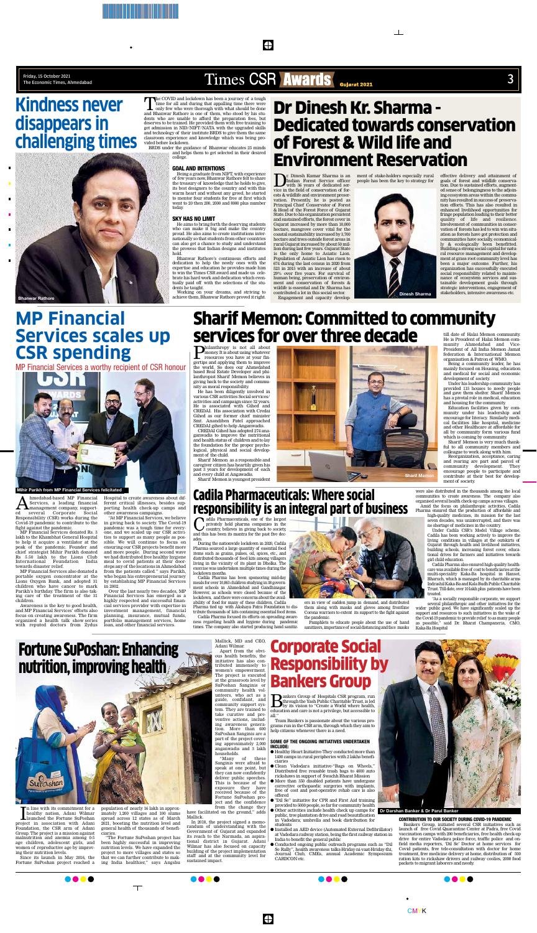\*BTB140414/ /06/K/1\* /06/Y/1\*/06/M/1\*/06/C/1\*

**B**ankers Group of Hospitals CSR program, run<br>through the Yash Public Charitable Trust, is led<br>by its vision to "Create a World where health,<br>education and care is not a privilege but accessible to through the Yash Public Charitable Trust, is led by its vision to "Create a World where health, education and care is not a privilege, but accessible to all."

Team Bankers is passionate about the various programs run in the CSR arm, through which they aim to help citizens whenever there is a need.

#### SOME OF THE ONGOING INITIATIVES UNDERTAKEN INCLUDE:

- $\bullet$  Healthy Heart Initiative-They conducted more than 1400 camps in rural peripheries with 2 lakhs beneficiaries
- l Clean Vadodara initiative-"Bags on Wheels," Distributed free reusable trash bags to 4000 auto rickshaws in support of Swachh Bharat Mission
- More than 350 disabled patients have undergone corrective orthopaedic surgeries with implants, free of cost and post-operative rehab care is also
- offered l "Dil Se" initiative for CPR and First Aid training provided to 5000 people, so far for community health
- $\bullet$  Other activities include health check up camps for public, tree plantation drive and road beautification in Vadodara; umbrella and book distribution for students
- l Installed an AED device (Automated External Defibrillator) at Vadodara railway station, being the first railway station in India to benefit the general public
- l Conducted ongoing public outreach programs such as "Dil Se Rally", health awareness talks-Hriday-ni-vaat-Hriday-thi, Journal Club, CMEs, annual Academic Symposium CARDCON etc.



CONTRIBUTION TO OUR SOCIETY DURING COVID-19 PANDEMIC

Bankers Group, initiated several CSR initiatives such as launch of free Covid Quarantine Center at Padra, free Covid vaccination camps with 200 beneficiaries, free health check-up drive for entire Vadodara police force, traffic police and onfield media reporters, 'Dil Se' Doctor at home services for Covid patients, free tele-consultation with doctor for home treatment, free medicine delivery at home, distribution of 500 ration kits to rickshaw drivers and railway coolies, 2000 food packets to migrant laborers and needy.

 $\bigoplus$ 

Since its launch in May 2016, the Fortune SuPoshan project reached a

population of nearly 16 lakh in approximately 1,200 villages and 100 slums spread across 12 states as of March 2021, boosting the nutrition level and general health of thousands of beneficiaries.

"The Fortune SuPoshan project has been highly successful in improving nutrition levels. We have expanded the project to more villages and states so that we can further contribute to making India healthier," says Angshu

 $\top$ 

Mallick, MD and CEO, Adani Wilmar.

dila Pharmaceuticals, one of the largest<br>privately held pharma companies in the<br>and this has been its mantra for the notative during<br>matrix of the notative during privately held pharma companies in the country, believes in giving back to society, and this has been its mantra for the past five decades.

> Apart from the obvious health benefits, the initiative has also contributed immensely to women's empowerment. The project is executed at the grassroots level by SuPoshan Sanginis or community health volunteers, who act as a guide, confidant, and community support system. They are trained to take curative and preventive actions, including awareness generation. More than 600 SuPoshan Sanginis are a part of the project covering approximately 2,000 anganwadis and 3 lakh households.

"Many of these Sanginis were afraid to speak at one point, but they can now confidently deliver public speeches. This is because of the exposure they have received because of the Fortune SuPoshan project and the confidence from the change they

have facilitated on the ground," adds Mallick.

In 2018, the project signed a memorandum of understanding with the Government of Gujarat and expanded its reach to the Narmada, an aspirational district in Gujarat. Adani Wilmar has also focused on capacity building of the project implementation staff and at the community level for sustained impact.

Philanthropy is not all about money. It is about using whatever resources you have at your fingertips and applying them to improve the world. So does our Ahmedabad based Real Estate Developer and philanthropist Sharif Memon believes in giving back to the society and community as moral responsibility.

**A** hmedabad-based MP Financial<br>
management company, support-<br>
coveral Corporate Social Services, a leading financial ed several Corporate Social Responsibility (CSR) works during the Covid-19 pandemic to contribute to the fight against the pandemic.

He has been diligently involved in various CSR activities Social services/ activities and campaign since 32 years. He is associated with Gihed and CREDAI. His association with Credai Gihed as our former chief minister Smt. Anandiben Patel approached CREDAI gihed to help Anganwadis.

CREDAI Gihed has adopted 274 anaganwadis to improve the nutritional and health status of children and to lay the foundation for the proper psychological, physical and social development of the child.

Sharif Memon as a responsible and caregiver citizen has heartily given his past 3 years for development of each and every child at Angawadis.

Sharif Memon is youngest president

till date of Halai Memon community. He is President of Halai Memon community Ahmedabad and Vice-President of All India Memon Jamat federation & International Memon organisation & Patron of WMO.

Being a community leader, he has mainly focused on Housing, education and medical for social and economic development of society.

Under his leadership community has provided 115 houses to needy people and gave them shelter. Sharif Memon has a pivotal role in medical, education and housing for the community.

 $\sum$ r. Dinesh Kumar Sharma is an<br>Indian Forest Service officer<br>with 36 years of dedicated ser-Indian Forest Service officer with 36 years of dedicated service in the field of conservation of forests & wildlife and environment preservation. Presently, he is posted as Principal Chief Conservator of Forest & Head of the Forest Force of Gujarat State. Due to his organization persistent and sustained efforts, the forest cover in Gujarat increased by more than 10,000 hectare, mangrove cover vital for the coastal sustainability increased by 3,700 hectare and trees outside forest areas in rural Gujarat increased by about 50 million during last few years. Gujarat State

> Education facilities given by community under his leadership and encourage for literacy. Similarly medical facilities like hospital, medicine and other Healthcare at affordable for all by community form various fund which is coming by community.

Sharif Memon is very much thankful to all community members and colleague to work along with him.

Reorganization, acceptance, caring and rearing are part and parcel of community development. They encourage people to participate and contribute at their best for development of society.

During the nationwide lockdown in 2020, Cadila Pharma sourced a large quantity of essential food items such as grains, pulses, oil, spices, etc., and distributed thousands of food kits among villagers living in the vicinity of its plant in Dholka. The exercise was undertaken multiple times during the lockdown months.

### Cadila Pharmaceuticals: Where social responsibility is an integral part of business

Cadila Pharma has been sponsoring mid-day meals for over 10,863 children studying in 38 government schools in Ahmedabad and Gandhinagar. However, as schools were closed because of the lockdown, and there were concerns about the availability of food for many of these children, Cadila Pharma tied up with Akshaya Patra Foundation to dis-

The COVID and lockdown has been a journey of a tough time for all and during that appalling time there were only few who were thorough with what should be done and Bhanwar Rathore is one of them, who stood by his students who are unable to afford the preparation fees, but deserves to be trained. He provided them with free training to get admission in NID/NIFT/NATA with the upgraded skills and technology of their institute BRDS to give them the same classroom experience and knowledge which was being provided before lockdown.

> tribute thousands of kits containing essential food items. Cadila Pharma focused its efforts on spreading aware-

ness regarding health and hygiene during pandemic times. The company also started producing hand sanitiz-



ers in view of sudden jump in demand, and distributed them along with masks and gloves among frontline Corona warriors to extent its support to the fight against the pandemic.

Pamphlets to educate people about the use of hand sanitizers, importance of social distancing and face masks

were also distributed in the thousands among the local communities to create awareness. The company also organised several health check-up camps across villages. Amid the focus on philanthropic activities, Cadila

Pharma ensured that the production of affordable and high-quality medicines, its mission for the last seven decades, was uninterrupted, and there was no shortage of medicines in the country.

Under Cadila CSR's Model Village scheme, Cadila has been working actively to improve the living conditions in villages at the outskirts of Gujarat through health and livelihood initiatives, building schools, increasing forest cover, educational drives for farmers and initiatives towards girl child education.

Cadila Pharma also ensured high-quality healthcare was available free of cost to beneficiaries at the multi-speciality Kaka-Ba hospital in Hansot, Bharuch, which is managed by its charitable arms Indrashil Kaka-Ba and Kala Budh Public Charitable Trust. Till date, over 10 lakh plus patients have been treated.

"As a socially responsible corporate, we support several philanthropic and other initiatives for the wider public good. We have significantly scaled up the support and resources to such initiatives in the wake of the Covid-19 pandemic to provide relief to as many people as possible," said Dr. Bharat Champaneria, CMO, Kaka-Ba Hospital

MP Financial Services donated Rs. 3 lakh to the Khambhat General Hospital to help it acquire a ventilator at the peak of the pandemic. Founder and chief strategist Mihir Parikh donated Rs 5.50 lakh to the Lions Club International Foundation India towards disaster relief.

MP Financial Services also donated a portable oxygen concentrator at the Lions Oxygen Bank, and adopted 31 children who have cancer to mark Parikh's birthday. The firm is also taking care of the treatment of the 31 children.

Awareness is the key to good health, and MP Financial Services' efforts also focus on creating awareness. The firm organized a health talk show series with reputed doctors from Zydus Hospital to create awareness about different critical illnesses, besides supporting health check-up camps and other awareness campaigns.

"At MP Financial Services, we believe in giving back to society. The Covid-19 pandemic was a tough time for everyone, and we scaled up our CSR activities to support as many people as possible. We will continue to focus on ensuring our CSR projects benefit more and more people. During second wave we had distributed free healthy hygiene meal to covid patients at their doorsteps any of the locations in Ahmedabad from the patients called." says Parikh, who began his entrepreneurial journey by establishing MP Financial Services in 2002.

Over the last nearly two decades, MP Financial Services has emerged as a highly respected and successful financial services provider with expertise in investment management, financial planning, insurance, mutual funds, portfolio management services, home loan, and other financial services.

is the only home to Asiatic Lion. Population of Asiatic Lion has risen to 674 during the last census in 2020 from 523 in 2015 with an increase of about 29% over five years. For survival of human being, preservation of environment and conservation of forests & wildife is essential and Dr. Sharma has contributed a lot in this social sector. Engagement and capacity development of stake-holders especially rural people has been the key to strategy for

effective delivery and attainment of goals of forest and wildlife conservation. Due to sustained efforts, augmented sense of belongingness to the adjoining ecosystem areas within the community has resulted in success of preservation efforts. This has also resulted in enhanced livelihood opportunities for fringe population leading to their better quality of life and resilience. Involvement of communities in conservation of forests has led to win win situation as forests have got protection and communities have socially, economically & ecologically been benefitted. Building a strong social capital for natural resource management and development at grass root community level has been a major outcome. Further, his organization has successfully executed social responsibility related to maintenance of ecosystem services and sustainable development goals through strategic interventions, engagement of stakeholders, intensive awareness etc.

## **MP Financial Services scales up CSR spending**

MP Financial Services a worthy recipient of CSR honour



## Fortune SuPoshan: Enhancing nutrition, improving health



In line with its commitment for a<br>healthy nation, Adani Wilmar<br>project in association with Adani n line with its commitment for a healthy nation, Adani Wilmar launched the Fortune SuPoshan Foundation, the CSR arm of Adani Group. The project is a mission against malnutrition and anemia among 0-5 age children, adolescent girls, and women of reproductive age by improving their nutrition levels

### Sharif Memon: Committed to community services for over three decade

## Dr Dinesh Kr. Sharma - Dedicated towards conservation of Forest & Wild life and Environment Reservation

 $\mathbb{R}^n$ 

**Dr Darshan Banker & Dr Parul Banker**

BRDS under the guidance of Bhanwar educates 25 minds and helps them to get selected in their desired college.

#### GOAL AND INTENTIONS

Being a graduate from NIFT, with experience of few years now, Bhanwar Rathore felt to share the treasury of knowledge that he holds to give, its best designers to the country and with this warm heart and without any greed, he started to mentor four students for free at first which went to 20 then 200, 2000 and 8000 plus number today.

#### SKY HAS NO LIMIT

He aims to bring forth the deserving students who can make it big and make the country proud. He also aims to create institutions internationally so that students from other countries can also get a chance to study and understand the prowess that Indian designs and institutes hold.

Bhanwar Rathore's continuous efforts and dedication to help the needy ones with the expertise and education he provides made him to win the Times CSR award and made us celebrate his hard work and dedication which eventually paid off with the selections of the students he taught.

Working on your dreams, and striving to achieve them, Bhanwar Rathore proved it right.

## **Kindness never disappears in challenging times**

### Corporate Social Responsibility by Bankers Group









Friday, 15 October 2021

### Friday, 15 October 2021<br>The Economic Times, Ahmedabad 3<br>
3

#### **Mihir Parikh from MP Financial Services felicitated**